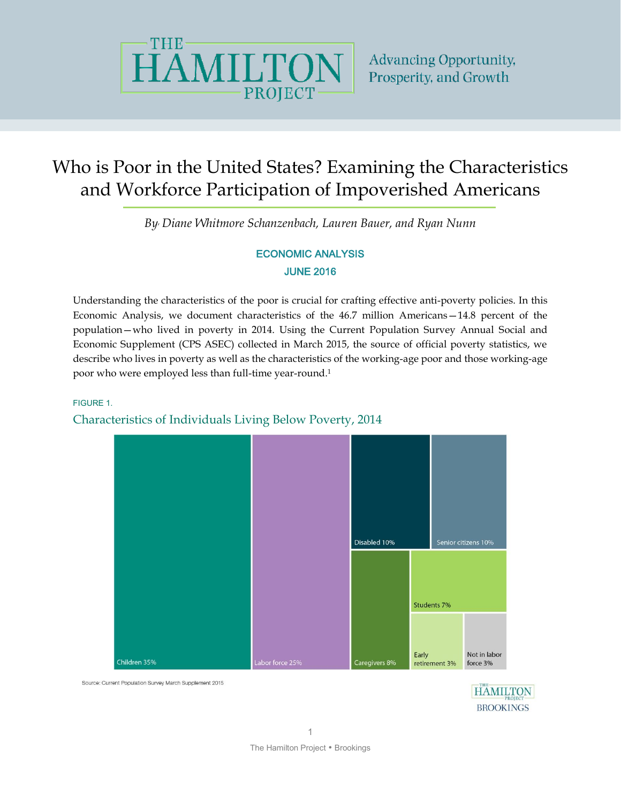

# Who is Poor in the United States? Examining the Characteristics and Workforce Participation of Impoverished Americans

*By, Diane Whitmore Schanzenbach, Lauren Bauer, and Ryan Nunn*

## ECONOMIC ANALYSIS JUNE 2016

Understanding the characteristics of the poor is crucial for crafting effective anti-poverty policies. In this Economic Analysis, we document characteristics of the 46.7 million Americans—14.8 percent of the population—who lived in poverty in 2014. Using the Current Population Survey Annual Social and Economic Supplement (CPS ASEC) collected in March 2015, the source of official poverty statistics, we describe who lives in poverty as well as the characteristics of the working-age poor and those working-age poor who were employed less than full-time year-round.<sup>1</sup>

#### FIGURE 1.

## Characteristics of Individuals Living Below Poverty, 2014



Source: Current Population Survey March Supplement 2015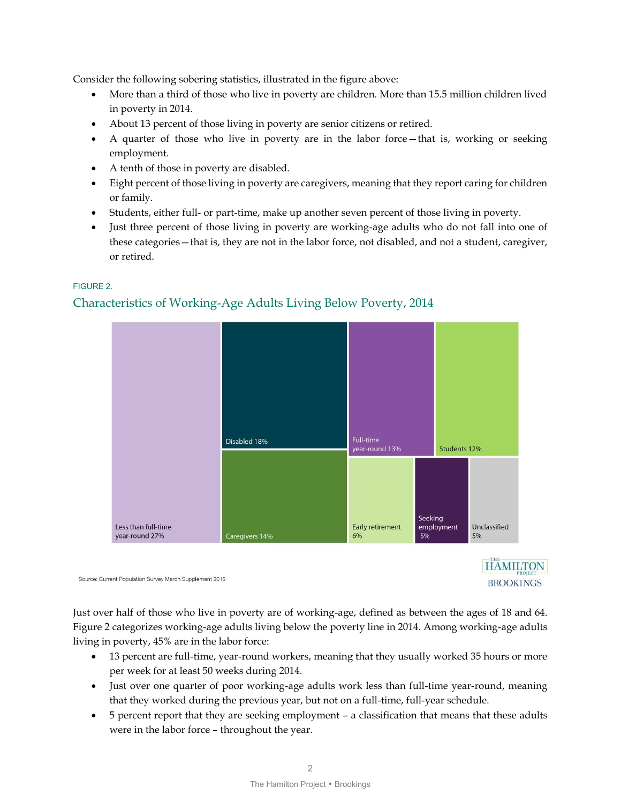Consider the following sobering statistics, illustrated in the figure above:

- More than a third of those who live in poverty are children. More than 15.5 million children lived in poverty in 2014.
- About 13 percent of those living in poverty are senior citizens or retired.
- A quarter of those who live in poverty are in the labor force—that is, working or seeking employment.
- A tenth of those in poverty are disabled.
- Eight percent of those living in poverty are caregivers, meaning that they report caring for children or family.
- Students, either full- or part-time, make up another seven percent of those living in poverty.
- Just three percent of those living in poverty are working-age adults who do not fall into one of these categories—that is, they are not in the labor force, not disabled, and not a student, caregiver, or retired.



#### FIGURE 2.

## Characteristics of Working-Age Adults Living Below Poverty, 2014

Source: Current Population Survey March Supplement 2015

Just over half of those who live in poverty are of working-age, defined as between the ages of 18 and 64. Figure 2 categorizes working-age adults living below the poverty line in 2014. Among working-age adults living in poverty, 45% are in the labor force:

 13 percent are full-time, year-round workers, meaning that they usually worked 35 hours or more per week for at least 50 weeks during 2014.

**HAMILTON** 

**BROOKINGS** 

- Just over one quarter of poor working-age adults work less than full-time year-round, meaning that they worked during the previous year, but not on a full-time, full-year schedule.
- 5 percent report that they are seeking employment a classification that means that these adults were in the labor force – throughout the year.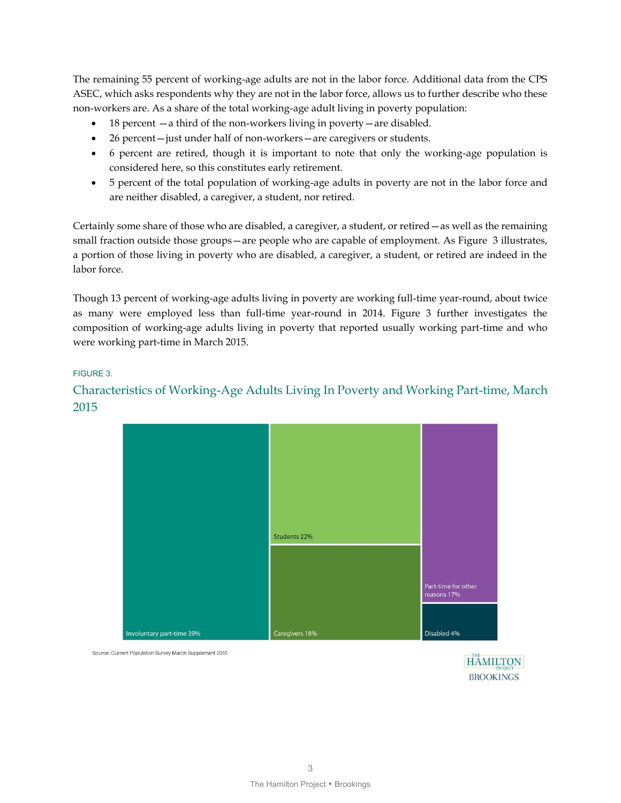The remaining 55 percent of working-age adults are not in the labor force. Additional data from the CPS ASEC, which asks respondents why they are not in the labor force, allows us to further describe who these non-workers are. As a share of the total working-age adult living in poverty population:

- $\bullet$  18 percent  $-a$  third of the non-workers living in poverty  $-a$  redisabled.
- 26 percent—just under half of non-workers—are caregivers or students.
- 6 percent are retired, though it is important to note that only the working-age population is considered here, so this constitutes early retirement.
- 5 percent of the total population of working-age adults in poverty are not in the labor force and are neither disabled, a caregiver, a student, nor retired.

Certainly some share of those who are disabled, a caregiver, a student, or retired—as well as the remaining small fraction outside those groups—are people who are capable of employment. As Figure 3 illustrates, a portion of those living in poverty who are disabled, a caregiver, a student, or retired are indeed in the labor force.

Though 13 percent of working-age adults living in poverty are working full-time year-round, about twice as many were employed less than full-time year-round in 2014. Figure 3 further investigates the composition of working-age adults living in poverty that reported usually working part-time and who were working part-time in March 2015.

#### FIGURE 3.

## Characteristics of Working-Age Adults Living In Poverty and Working Part-time, March 2015



Source: Current Population Survey March Supplement 2015

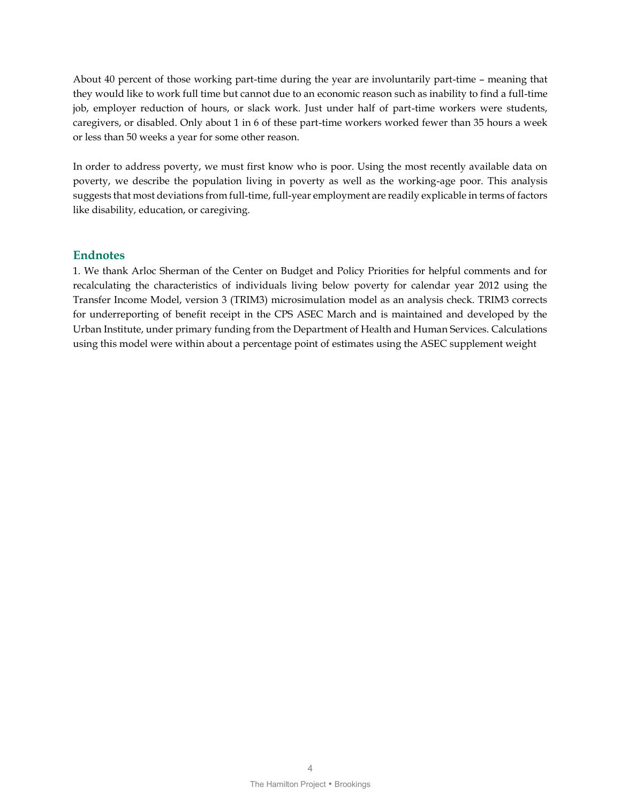About 40 percent of those working part-time during the year are involuntarily part-time – meaning that they would like to work full time but cannot due to an economic reason such as inability to find a full-time job, employer reduction of hours, or slack work. Just under half of part-time workers were students, caregivers, or disabled. Only about 1 in 6 of these part-time workers worked fewer than 35 hours a week or less than 50 weeks a year for some other reason.

In order to address poverty, we must first know who is poor. Using the most recently available data on poverty, we describe the population living in poverty as well as the working-age poor. This analysis suggests that most deviations from full-time, full-year employment are readily explicable in terms of factors like disability, education, or caregiving.

### **Endnotes**

1. We thank Arloc Sherman of the Center on Budget and Policy Priorities for helpful comments and for recalculating the characteristics of individuals living below poverty for calendar year 2012 using the Transfer Income Model, version 3 (TRIM3) microsimulation model as an analysis check. TRIM3 corrects for underreporting of benefit receipt in the CPS ASEC March and is maintained and developed by the Urban Institute, under primary funding from the Department of Health and Human Services. Calculations using this model were within about a percentage point of estimates using the ASEC supplement weight